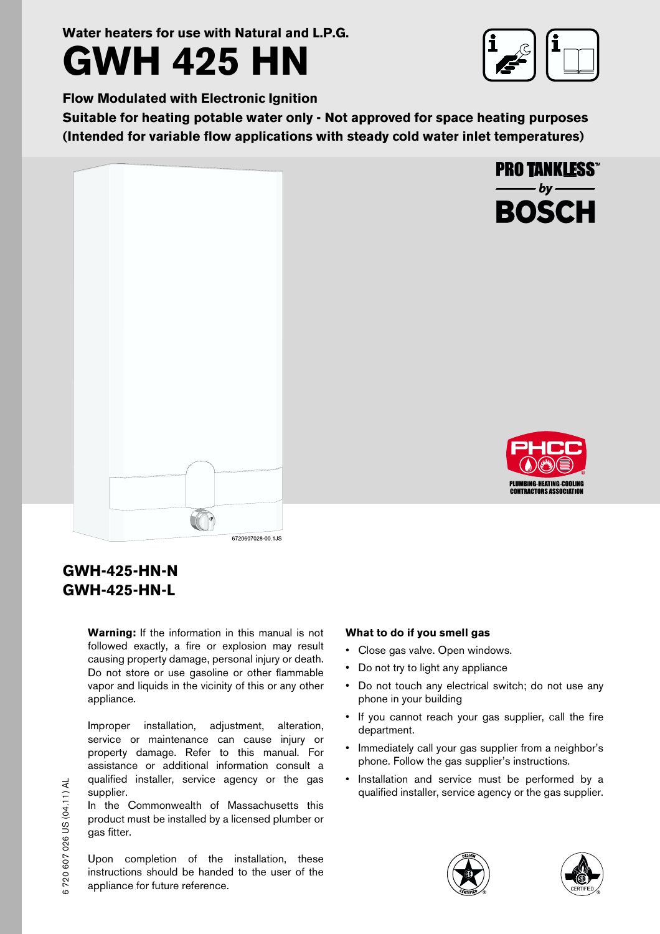**Water heaters for use with Natural and L.P.G.**



**PRO TANKLESS™** 

**BOSCH** 

**Flow Modulated with Electronic Ignition**

**Suitable for heating potable water only - Not approved for space heating purposes (Intended for variable flow applications with steady cold water inlet temperatures)**





# **GWH-425-HN-N GWH-425-HN-L**

**Warning:** If the information in this manual is not followed exactly, a fire or explosion may result causing property damage, personal injury or death. Do not store or use gasoline or other flammable vapor and liquids in the vicinity of this or any other appliance.

Improper installation, adjustment, alteration, service or maintenance can cause injury or property damage. Refer to this manual. For assistance or additional information consult a qualified installer, service agency or the gas supplier.

In the Commonwealth of Massachusetts this product must be installed by a licensed plumber or gas fitter.

Upon completion of the installation, these instructions should be handed to the user of the appliance for future reference.

### **What to do if you smell gas**

- Close gas valve. Open windows.
- Do not try to light any appliance
- Do not touch any electrical switch; do not use any phone in your building
- If you cannot reach your gas supplier, call the fire department.
- Immediately call your gas supplier from a neighbor's phone. Follow the gas supplier's instructions.
- Installation and service must be performed by a qualified installer, service agency or the gas supplier.



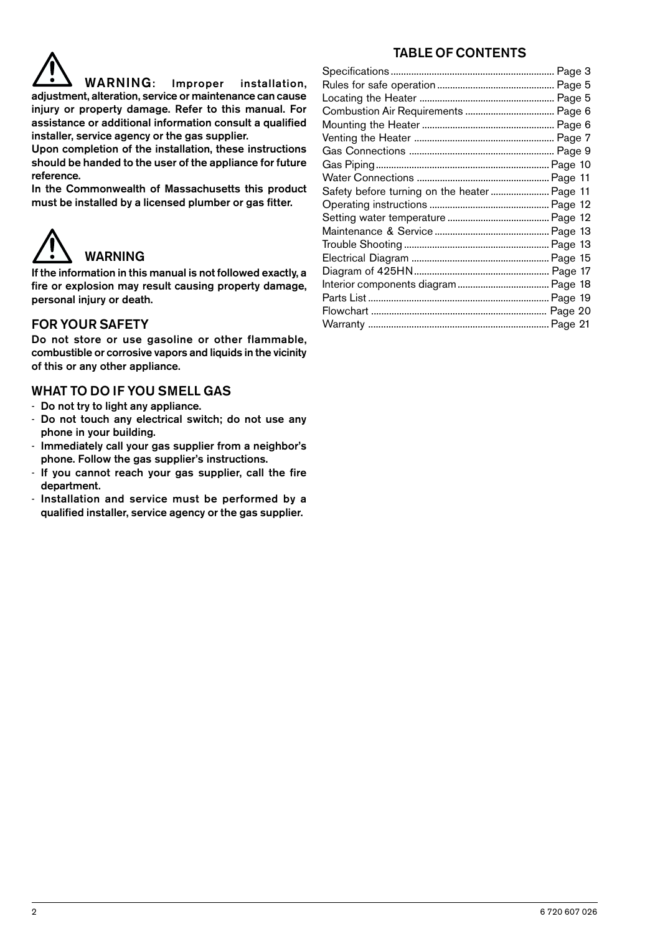# TABLE OF CONTENTS



Upon completion of the installation, these instructions should be handed to the user of the appliance for future reference.

In the Commonwealth of Massachusetts this product must be installed by a licensed plumber or gas fitter.



If the information in this manual is not followed exactly, a fire or explosion may result causing property damage, personal injury or death.

## FOR YOUR SAFETY

Do not store or use gasoline or other flammable, combustible or corrosive vapors and liquids in the vicinity of this or any other appliance.

### WHAT TO DO IF YOU SMELL GAS

- Do not try to light any appliance.
- Do not touch any electrical switch; do not use any phone in your building.
- Immediately call your gas supplier from a neighbor's phone. Follow the gas supplier's instructions.
- If you cannot reach your gas supplier, call the fire department.
- Installation and service must be performed by a qualified installer, service agency or the gas supplier.

| Safety before turning on the heater Page 11 |  |
|---------------------------------------------|--|
|                                             |  |
|                                             |  |
|                                             |  |
|                                             |  |
|                                             |  |
|                                             |  |
|                                             |  |
|                                             |  |
|                                             |  |
|                                             |  |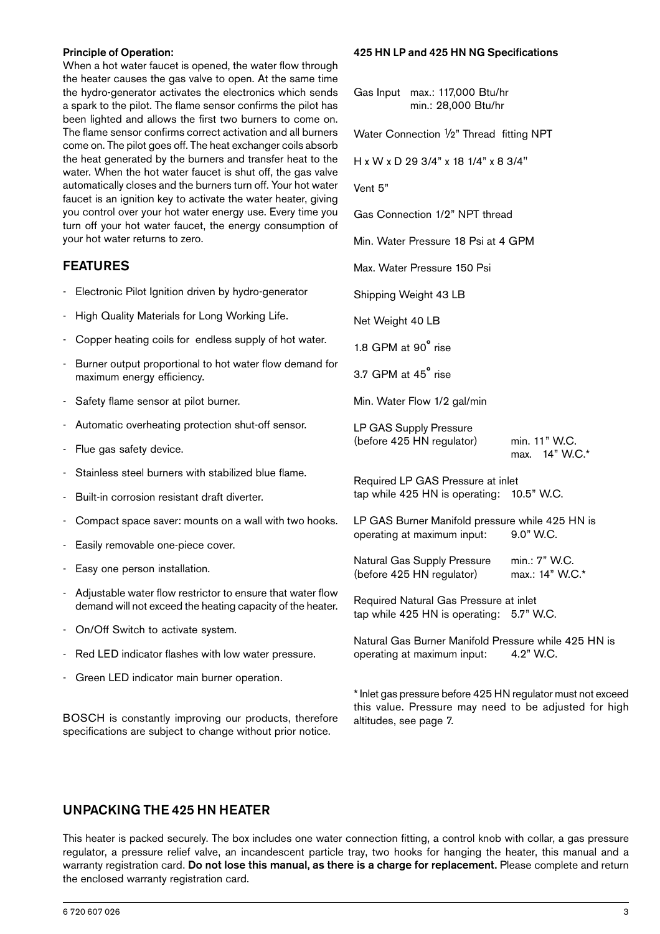#### Principle of Operation:

When a hot water faucet is opened, the water flow through the heater causes the gas valve to open. At the same time the hydro-generator activates the electronics which sends a spark to the pilot. The flame sensor confirms the pilot has been lighted and allows the first two burners to come on. The flame sensor confirms correct activation and all burners come on. The pilot goes off. The heat exchanger coils absorb the heat generated by the burners and transfer heat to the water. When the hot water faucet is shut off, the gas valve automatically closes and the burners turn off. Your hot water faucet is an ignition key to activate the water heater, giving you control over your hot water energy use. Every time you turn off your hot water faucet, the energy consumption of your hot water returns to zero.

### FEATURES

- Electronic Pilot Ignition driven by hydro-generator
- High Quality Materials for Long Working Life.
- Copper heating coils for endless supply of hot water.
- Burner output proportional to hot water flow demand for maximum energy efficiency.
- Safety flame sensor at pilot burner.
- Automatic overheating protection shut-off sensor.
- Flue gas safety device.
- Stainless steel burners with stabilized blue flame.
- Built-in corrosion resistant draft diverter.
- Compact space saver: mounts on a wall with two hooks.
- Easily removable one-piece cover.
- Easy one person installation.
- Adjustable water flow restrictor to ensure that water flow demand will not exceed the heating capacity of the heater.
- On/Off Switch to activate system.
- Red LED indicator flashes with low water pressure.
- Green LED indicator main burner operation.

BOSCH is constantly improving our products, therefore specifications are subject to change without prior notice.

#### 425 HN LP and 425 HN NG Specifications

|                     | Gas Input max.: 117,000 Btu/hr<br>min.: 28,000 Btu/hr                              |                                                                   |
|---------------------|------------------------------------------------------------------------------------|-------------------------------------------------------------------|
|                     | Water Connection 1/2" Thread fitting NPT                                           |                                                                   |
|                     | H x W x D 29 3/4" x 18 1/4" x 8 3/4"                                               |                                                                   |
| Vent 5"             |                                                                                    |                                                                   |
|                     | Gas Connection 1/2" NPT thread                                                     |                                                                   |
|                     | Min. Water Pressure 18 Psi at 4 GPM                                                |                                                                   |
|                     | Max. Water Pressure 150 Psi                                                        |                                                                   |
|                     | Shipping Weight 43 LB                                                              |                                                                   |
| Net Weight 40 LB    |                                                                                    |                                                                   |
| 1.8 GPM at 90° rise |                                                                                    |                                                                   |
| 3.7 GPM at 45° rise |                                                                                    |                                                                   |
|                     | Min. Water Flow 1/2 gal/min                                                        |                                                                   |
|                     | LP GAS Supply Pressure<br>(before 425 HN regulator)                                | min. 11" W.C.<br>max. 14" W.C.*                                   |
|                     | Required LP GAS Pressure at inlet<br>tap while 425 HN is operating: 10.5" W.C.     |                                                                   |
|                     | LP GAS Burner Manifold pressure while 425 HN is<br>operating at maximum input:     | 9.0" W.C.                                                         |
|                     | Natural Gas Supply Pressure<br>(before 425 HN regulator)                           | min.: 7" W.C.<br>max.: 14" W.C.*                                  |
|                     | Required Natural Gas Pressure at inlet<br>tap while 425 HN is operating: 5.7" W.C. |                                                                   |
|                     | operating at maximum input:                                                        | Natural Gas Burner Manifold Pressure while 425 HN is<br>4.2" W.C. |
|                     |                                                                                    |                                                                   |

\* Inlet gas pressure before 425 HN regulator must not exceed this value. Pressure may need to be adjusted for high altitudes, see page 7.

### UNPACKING THE 425 HN HEATER

This heater is packed securely. The box includes one water connection fitting, a control knob with collar, a gas pressure regulator, a pressure relief valve, an incandescent particle tray, two hooks for hanging the heater, this manual and a warranty registration card. Do not lose this manual, as there is a charge for replacement. Please complete and return the enclosed warranty registration card.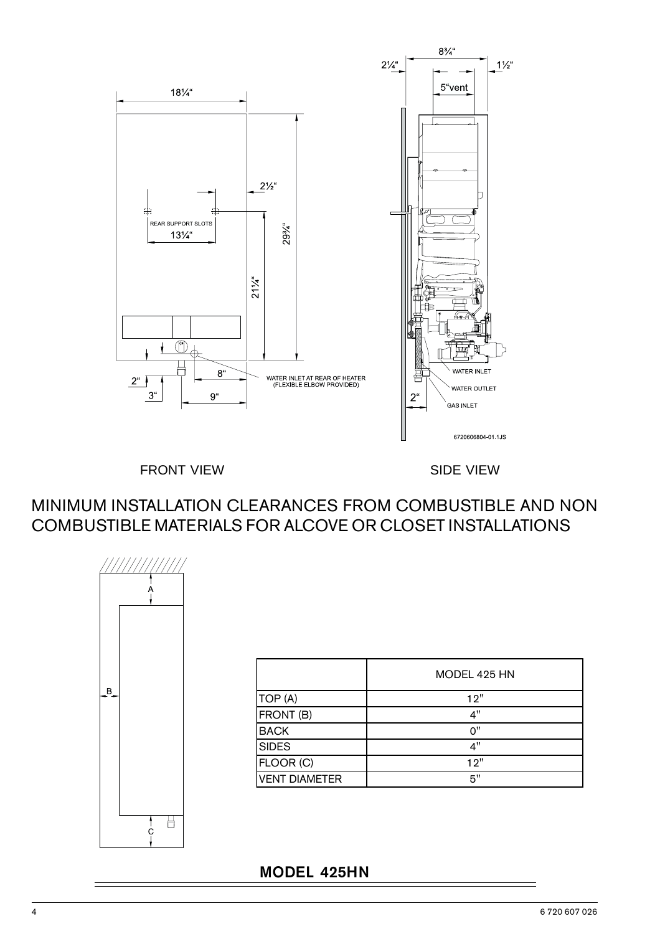

FRONT VIEW SIDE VIEW

MINIMUM INSTALLATION CLEARANCES FROM COMBUSTIBLE AND NON COMBUSTIBLE MATERIALS FOR ALCOVE OR CLOSET INSTALLATIONS



|                      | MODEL 425 HN |
|----------------------|--------------|
| TOP (A)              | 12"          |
| FRONT (B)            | 4"           |
| <b>BACK</b>          | ∩"           |
| <b>SIDES</b>         | 4"           |
| FLOOR (C)            | 12"          |
| <b>VENT DIAMETER</b> | 5"           |

# MODEL 425HN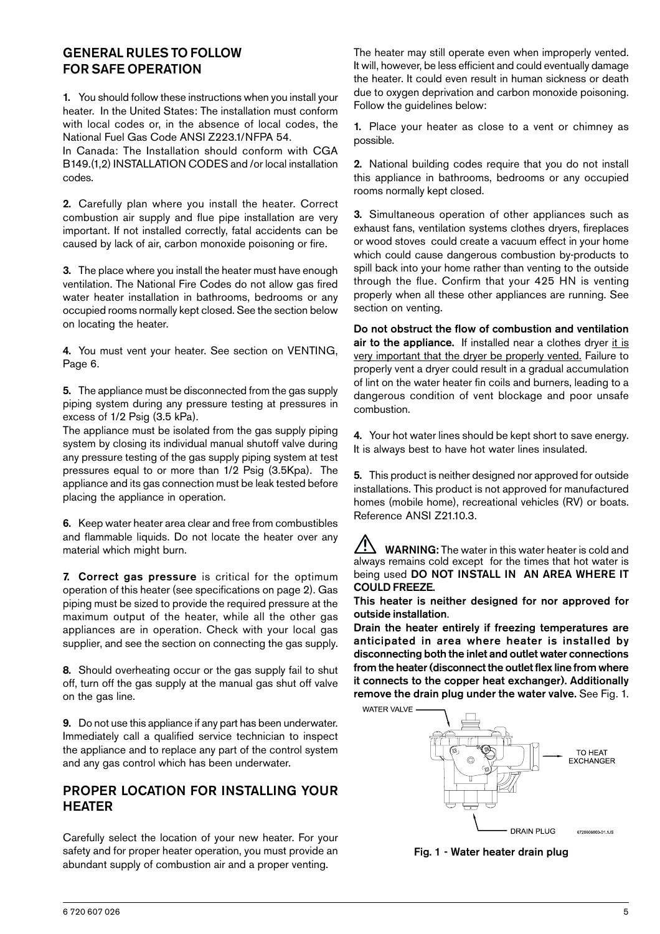## GENERAL RULES TO FOLLOW FOR SAFE OPERATION

1. You should follow these instructions when you install your heater. In the United States: The installation must conform with local codes or, in the absence of local codes, the National Fuel Gas Code ANSI Z223.1/NFPA 54.

In Canada: The Installation should conform with CGA B149.(1,2) INSTALLATION CODES and /or local installation codes.

2. Carefully plan where you install the heater. Correct combustion air supply and flue pipe installation are very important. If not installed correctly, fatal accidents can be caused by lack of air, carbon monoxide poisoning or fire.

3. The place where you install the heater must have enough ventilation. The National Fire Codes do not allow gas fired water heater installation in bathrooms, bedrooms or any occupied rooms normally kept closed. See the section below on locating the heater.

4. You must vent your heater. See section on VENTING, Page 6.

5. The appliance must be disconnected from the gas supply piping system during any pressure testing at pressures in excess of 1/2 Psig (3.5 kPa).

The appliance must be isolated from the gas supply piping system by closing its individual manual shutoff valve during any pressure testing of the gas supply piping system at test pressures equal to or more than 1/2 Psig (3.5Kpa). The appliance and its gas connection must be leak tested before placing the appliance in operation.

6. Keep water heater area clear and free from combustibles and flammable liquids. Do not locate the heater over any material which might burn.

7. Correct gas pressure is critical for the optimum operation of this heater (see specifications on page 2). Gas piping must be sized to provide the required pressure at the maximum output of the heater, while all the other gas appliances are in operation. Check with your local gas supplier, and see the section on connecting the gas supply.

8. Should overheating occur or the gas supply fail to shut off, turn off the gas supply at the manual gas shut off valve on the gas line.

9. Do not use this appliance if any part has been underwater. Immediately call a qualified service technician to inspect the appliance and to replace any part of the control system and any gas control which has been underwater.

## PROPER LOCATION FOR INSTALLING YOUR **HEATER**

Carefully select the location of your new heater. For your safety and for proper heater operation, you must provide an abundant supply of combustion air and a proper venting.

The heater may still operate even when improperly vented. It will, however, be less efficient and could eventually damage the heater. It could even result in human sickness or death due to oxygen deprivation and carbon monoxide poisoning. Follow the guidelines below:

1. Place your heater as close to a vent or chimney as possible.

2. National building codes require that you do not install this appliance in bathrooms, bedrooms or any occupied rooms normally kept closed.

3. Simultaneous operation of other appliances such as exhaust fans, ventilation systems clothes dryers, fireplaces or wood stoves could create a vacuum effect in your home which could cause dangerous combustion by-products to spill back into your home rather than venting to the outside through the flue. Confirm that your 425 HN is venting properly when all these other appliances are running. See section on venting.

Do not obstruct the flow of combustion and ventilation air to the appliance. If installed near a clothes dryer it is very important that the dryer be properly vented. Failure to properly vent a dryer could result in a gradual accumulation of lint on the water heater fin coils and burners, leading to a dangerous condition of vent blockage and poor unsafe combustion.

4. Your hot water lines should be kept short to save energy. It is always best to have hot water lines insulated.

5. This product is neither designed nor approved for outside installations. This product is not approved for manufactured homes (mobile home), recreational vehicles (RV) or boats. Reference ANSI Z21.10.3.

WARNING: The water in this water heater is cold and always remains cold except for the times that hot water is being used DO NOT INSTALL IN AN AREA WHERE IT COULD FREEZE.

This heater is neither designed for nor approved for outside installation.

Drain the heater entirely if freezing temperatures are anticipated in area where heater is installed by disconnecting both the inlet and outlet water connections from the heater (disconnect the outlet flex line from where it connects to the copper heat exchanger). Additionally remove the drain plug under the water valve. See Fig. 1.



Fig. 1 - Water heater drain plug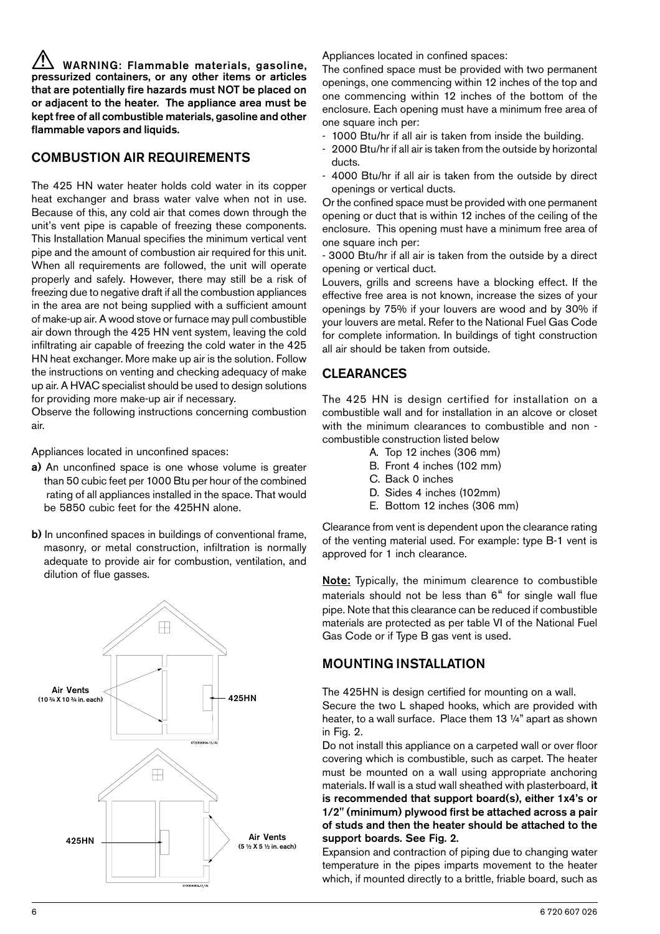WARNING: Flammable materials, gasoline, pressurized containers, or any other items or articles that are potentially fire hazards must NOT be placed on or adjacent to the heater. The appliance area must be kept free of all combustible materials, gasoline and other flammable vapors and liquids.

# COMBUSTION AIR REQUIREMENTS

The 425 HN water heater holds cold water in its copper heat exchanger and brass water valve when not in use. Because of this, any cold air that comes down through the unit's vent pipe is capable of freezing these components. This Installation Manual specifies the minimum vertical vent pipe and the amount of combustion air required for this unit. When all requirements are followed, the unit will operate properly and safely. However, there may still be a risk of freezing due to negative draft if all the combustion appliances in the area are not being supplied with a sufficient amount of make-up air. A wood stove or furnace may pull combustible air down through the 425 HN vent system, leaving the cold infiltrating air capable of freezing the cold water in the 425 HN heat exchanger. More make up air is the solution. Follow the instructions on venting and checking adequacy of make up air. A HVAC specialist should be used to design solutions for providing more make-up air if necessary.

Observe the following instructions concerning combustion air.

Appliances located in unconfined spaces:

- a) An unconfined space is one whose volume is greater than 50 cubic feet per 1000 Btu per hour of the combined rating of all appliances installed in the space. That would be 5850 cubic feet for the 425HN alone.
- b) In unconfined spaces in buildings of conventional frame, masonry, or metal construction, infiltration is normally adequate to provide air for combustion, ventilation, and dilution of flue gasses.



Appliances located in confined spaces:

The confined space must be provided with two permanent openings, one commencing within 12 inches of the top and one commencing within 12 inches of the bottom of the enclosure. Each opening must have a minimum free area of one square inch per:

- 1000 Btu/hr if all air is taken from inside the building.
- 2000 Btu/hr if all air is taken from the outside by horizontal ducts.
- 4000 Btu/hr if all air is taken from the outside by direct openings or vertical ducts.

Or the confined space must be provided with one permanent opening or duct that is within 12 inches of the ceiling of the enclosure. This opening must have a minimum free area of one square inch per:

- 3000 Btu/hr if all air is taken from the outside by a direct opening or vertical duct.

Louvers, grills and screens have a blocking effect. If the effective free area is not known, increase the sizes of your openings by 75% if your louvers are wood and by 30% if your louvers are metal. Refer to the National Fuel Gas Code for complete information. In buildings of tight construction all air should be taken from outside.

# CLEARANCES

The 425 HN is design certified for installation on a combustible wall and for installation in an alcove or closet with the minimum clearances to combustible and non combustible construction listed below

- A. Top 12 inches (306 mm)
- B. Front 4 inches (102 mm)
- C. Back 0 inches
- D. Sides 4 inches (102mm)
- E. Bottom 12 inches (306 mm)

Clearance from vent is dependent upon the clearance rating of the venting material used. For example: type B-1 vent is approved for 1 inch clearance.

Note: Typically, the minimum clearence to combustible materials should not be less than 6" for single wall flue pipe. Note that this clearance can be reduced if combustible materials are protected as per table VI of the National Fuel Gas Code or if Type B gas vent is used.

# MOUNTING INSTALLATION

The 425HN is design certified for mounting on a wall. Secure the two L shaped hooks, which are provided with heater, to a wall surface. Place them 13 ¼" apart as shown in Fig. 2.

Do not install this appliance on a carpeted wall or over floor covering which is combustible, such as carpet. The heater must be mounted on a wall using appropriate anchoring materials. If wall is a stud wall sheathed with plasterboard, it is recommended that support board(s), either 1x4's or 1/2" (minimum) plywood first be attached across a pair of studs and then the heater should be attached to the support boards. See Fig. 2.

Expansion and contraction of piping due to changing water temperature in the pipes imparts movement to the heater which, if mounted directly to a brittle, friable board, such as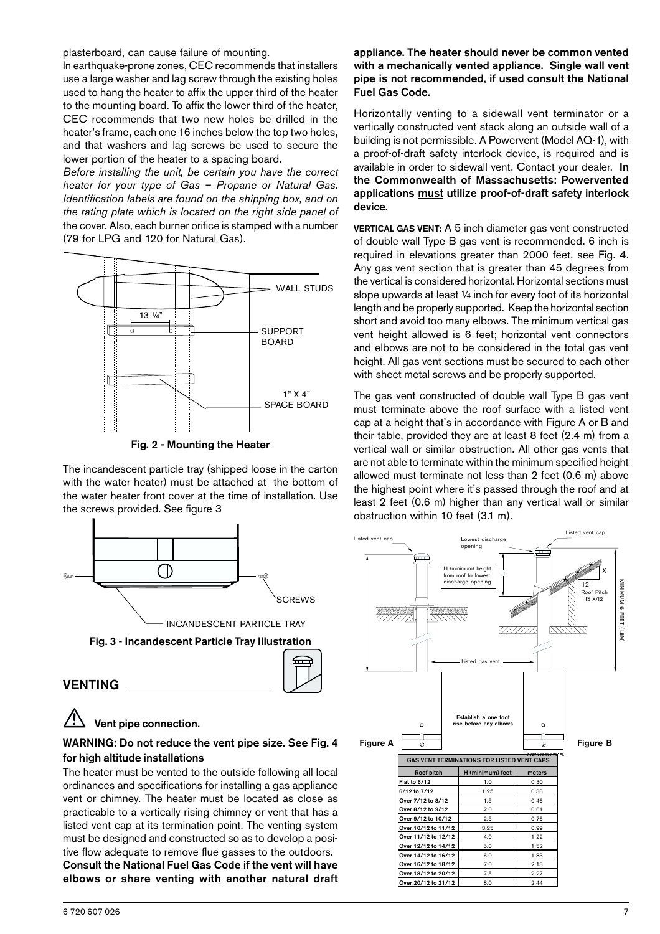plasterboard, can cause failure of mounting.

In earthquake-prone zones, CEC recommends that installers use a large washer and lag screw through the existing holes used to hang the heater to affix the upper third of the heater to the mounting board. To affix the lower third of the heater, CEC recommends that two new holes be drilled in the heater's frame, each one 16 inches below the top two holes, and that washers and lag screws be used to secure the lower portion of the heater to a spacing board.

*Before installing the unit, be certain you have the correct heater for your type of Gas – Propane or Natural Gas. Identification labels are found on the shipping box, and on the rating plate which is located on the right side panel of* the cover. Also, each burner orifice is stamped with a number (79 for LPG and 120 for Natural Gas).



Fig. 2 - Mounting the Heater

The incandescent particle tray (shipped loose in the carton with the water heater) must be attached at the bottom of the water heater front cover at the time of installation. Use the screws provided. See figure 3



# Vent pipe connection.

### WARNING: Do not reduce the vent pipe size. See Fig. 4 for high altitude installations

The heater must be vented to the outside following all local ordinances and specifications for installing a gas appliance vent or chimney. The heater must be located as close as practicable to a vertically rising chimney or vent that has a listed vent cap at its termination point. The venting system must be designed and constructed so as to develop a positive flow adequate to remove flue gasses to the outdoors. Consult the National Fuel Gas Code if the vent will have elbows or share venting with another natural draft

#### appliance. The heater should never be common vented with a mechanically vented appliance. Single wall vent pipe is not recommended, if used consult the National Fuel Gas Code.

Horizontally venting to a sidewall vent terminator or a vertically constructed vent stack along an outside wall of a building is not permissible. A Powervent (Model AQ-1), with a proof-of-draft safety interlock device, is required and is available in order to sidewall vent. Contact your dealer. In the Commonwealth of Massachusetts: Powervented applications must utilize proof-of-draft safety interlock device.

VERTICAL GAS VENT: A 5 inch diameter gas vent constructed of double wall Type B gas vent is recommended. 6 inch is required in elevations greater than 2000 feet, see Fig. 4. Any gas vent section that is greater than 45 degrees from the vertical is considered horizontal. Horizontal sections must slope upwards at least 1/4 inch for every foot of its horizontal length and be properly supported. Keep the horizontal section short and avoid too many elbows. The minimum vertical gas vent height allowed is 6 feet; horizontal vent connectors and elbows are not to be considered in the total gas vent height. All gas vent sections must be secured to each other with sheet metal screws and be properly supported.

The gas vent constructed of double wall Type B gas vent must terminate above the roof surface with a listed vent cap at a height that's in accordance with Figure A or B and their table, provided they are at least 8 feet (2.4 m) from a vertical wall or similar obstruction. All other gas vents that are not able to terminate within the minimum specified height allowed must terminate not less than 2 feet (0.6 m) above the highest point where it's passed through the roof and at least 2 feet (0.6 m) higher than any vertical wall or similar obstruction within 10 feet (3.1 m).

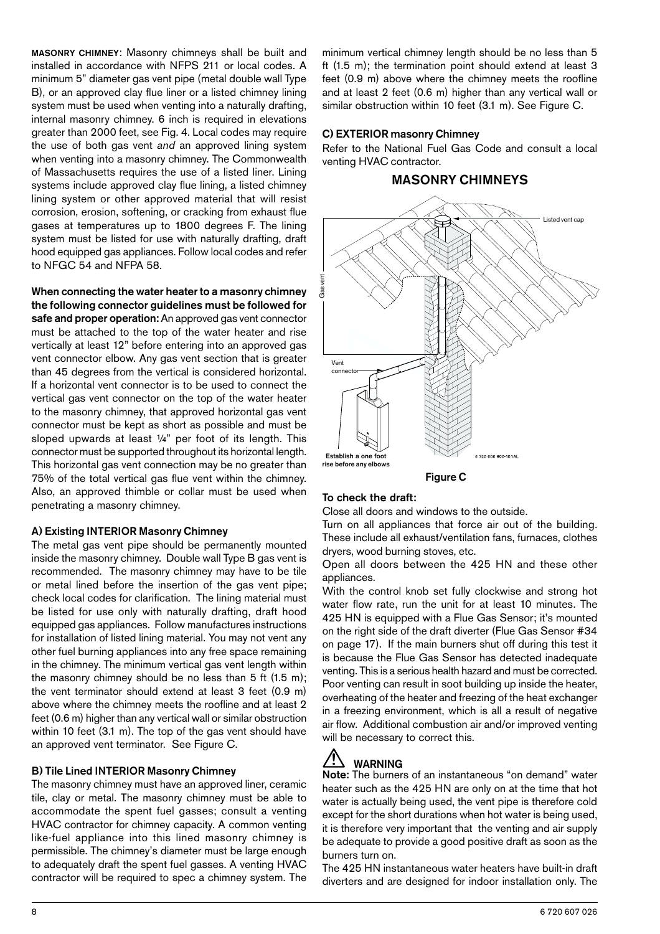MASONRY CHIMNEY: Masonry chimneys shall be built and installed in accordance with NFPS 211 or local codes. A minimum 5" diameter gas vent pipe (metal double wall Type B), or an approved clay flue liner or a listed chimney lining system must be used when venting into a naturally drafting, internal masonry chimney. 6 inch is required in elevations greater than 2000 feet, see Fig. 4. Local codes may require the use of both gas vent *and* an approved lining system when venting into a masonry chimney. The Commonwealth of Massachusetts requires the use of a listed liner. Lining systems include approved clay flue lining, a listed chimney lining system or other approved material that will resist corrosion, erosion, softening, or cracking from exhaust flue gases at temperatures up to 1800 degrees F. The lining system must be listed for use with naturally drafting, draft hood equipped gas appliances. Follow local codes and refer to NFGC 54 and NFPA 58.

When connecting the water heater to a masonry chimney the following connector guidelines must be followed for safe and proper operation: An approved gas vent connector must be attached to the top of the water heater and rise vertically at least 12" before entering into an approved gas vent connector elbow. Any gas vent section that is greater than 45 degrees from the vertical is considered horizontal. If a horizontal vent connector is to be used to connect the vertical gas vent connector on the top of the water heater to the masonry chimney, that approved horizontal gas vent connector must be kept as short as possible and must be sloped upwards at least 1/4" per foot of its length. This connector must be supported throughout its horizontal length. This horizontal gas vent connection may be no greater than 75% of the total vertical gas flue vent within the chimney. Also, an approved thimble or collar must be used when penetrating a masonry chimney.

#### A) Existing INTERIOR Masonry Chimney

The metal gas vent pipe should be permanently mounted inside the masonry chimney. Double wall Type B gas vent is recommended. The masonry chimney may have to be tile or metal lined before the insertion of the gas vent pipe; check local codes for clarification. The lining material must be listed for use only with naturally drafting, draft hood equipped gas appliances. Follow manufactures instructions for installation of listed lining material. You may not vent any other fuel burning appliances into any free space remaining in the chimney. The minimum vertical gas vent length within the masonry chimney should be no less than 5 ft (1.5 m); the vent terminator should extend at least 3 feet (0.9 m) above where the chimney meets the roofline and at least 2 feet (0.6 m) higher than any vertical wall or similar obstruction within 10 feet (3.1 m). The top of the gas vent should have an approved vent terminator. See Figure C.

#### B) Tile Lined INTERIOR Masonry Chimney

The masonry chimney must have an approved liner, ceramic tile, clay or metal. The masonry chimney must be able to accommodate the spent fuel gasses; consult a venting HVAC contractor for chimney capacity. A common venting like-fuel appliance into this lined masonry chimney is permissible. The chimney's diameter must be large enough to adequately draft the spent fuel gasses. A venting HVAC contractor will be required to spec a chimney system. The

minimum vertical chimney length should be no less than 5 ft (1.5 m); the termination point should extend at least 3 feet (0.9 m) above where the chimney meets the roofline and at least 2 feet (0.6 m) higher than any vertical wall or similar obstruction within 10 feet (3.1 m). See Figure C.

#### C) EXTERIOR masonry Chimney

Refer to the National Fuel Gas Code and consult a local venting HVAC contractor.

### MASONRY CHIMNEYS



Figure C

#### To check the draft:

Close all doors and windows to the outside.

Turn on all appliances that force air out of the building. These include all exhaust/ventilation fans, furnaces, clothes dryers, wood burning stoves, etc.

Open all doors between the 425 HN and these other appliances.

With the control knob set fully clockwise and strong hot water flow rate, run the unit for at least 10 minutes. The 425 HN is equipped with a Flue Gas Sensor; it's mounted on the right side of the draft diverter (Flue Gas Sensor #34 on page 17). If the main burners shut off during this test it is because the Flue Gas Sensor has detected inadequate venting. This is a serious health hazard and must be corrected. Poor venting can result in soot building up inside the heater, overheating of the heater and freezing of the heat exchanger in a freezing environment, which is all a result of negative air flow. Additional combustion air and/or improved venting will be necessary to correct this.

# $\overline{\mathcal{L}}$  WARNING

Note: The burners of an instantaneous "on demand" water heater such as the 425 HN are only on at the time that hot water is actually being used, the vent pipe is therefore cold except for the short durations when hot water is being used, it is therefore very important that the venting and air supply be adequate to provide a good positive draft as soon as the burners turn on.

The 425 HN instantaneous water heaters have built-in draft diverters and are designed for indoor installation only. The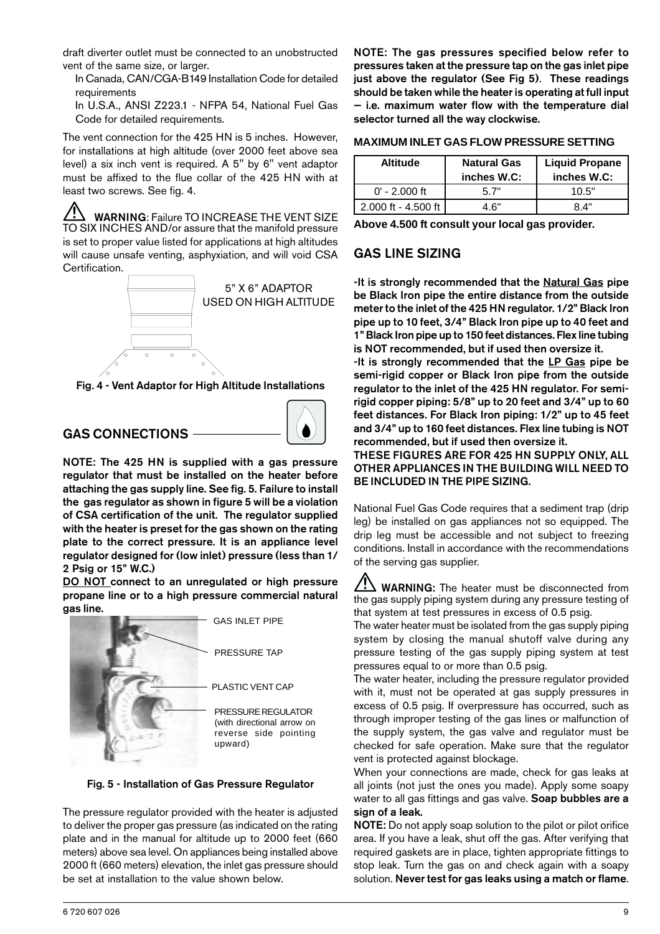draft diverter outlet must be connected to an unobstructed vent of the same size, or larger.

In Canada, CAN/CGA-B149 Installation Code for detailed requirements

In U.S.A., ANSI Z223.1 - NFPA 54, National Fuel Gas Code for detailed requirements.

The vent connection for the 425 HN is 5 inches. However, for installations at high altitude (over 2000 feet above sea level) a six inch vent is required. A 5" by 6" vent adaptor must be affixed to the flue collar of the 425 HN with at least two screws. See fig. 4.

WARNING: Failure TO INCREASE THE VENT SIZE TO SIX INCHES AND/or assure that the manifold pressure is set to proper value listed for applications at high altitudes will cause unsafe venting, asphyxiation, and will void CSA Certification.



Fig. 4 - Vent Adaptor for High Altitude Installations

# GAS CONNECTIONS



NOTE: The 425 HN is supplied with a gas pressure regulator that must be installed on the heater before attaching the gas supply line. See fig. 5. Failure to install the gas regulator as shown in figure 5 will be a violation of CSA certification of the unit. The regulator supplied with the heater is preset for the gas shown on the rating plate to the correct pressure. It is an appliance level regulator designed for (low inlet) pressure (less than 1/ 2 Psig or 15" W.C.)

DO NOT connect to an unregulated or high pressure propane line or to a high pressure commercial natural gas line.



Fig. 5 - Installation of Gas Pressure Regulator

The pressure regulator provided with the heater is adjusted to deliver the proper gas pressure (as indicated on the rating plate and in the manual for altitude up to 2000 feet (660 meters) above sea level. On appliances being installed above 2000 ft (660 meters) elevation, the inlet gas pressure should be set at installation to the value shown below.

NOTE: The gas pressures specified below refer to pressures taken at the pressure tap on the gas inlet pipe just above the regulator (See Fig 5). These readings should be taken while the heater is operating at full input — i.e. maximum water flow with the temperature dial selector turned all the way clockwise.

| <b>MAXIMUM INLET GAS FLOW PRESSURE SETTING</b> |  |
|------------------------------------------------|--|
|------------------------------------------------|--|

| <b>Altitude</b>       | <b>Natural Gas</b><br>inches W.C: | <b>Liquid Propane</b><br>inches W.C: |  |  |  |
|-----------------------|-----------------------------------|--------------------------------------|--|--|--|
| $0'$ - 2,000 ft       | 5 7"                              | 10.5"                                |  |  |  |
| $2.000$ ft - 4.500 ft | 4 6"                              | 8 4"                                 |  |  |  |

**Above 4.500 ft consult your local gas provider.**

# GAS LINE SIZING

-It is strongly recommended that the Natural Gas pipe be Black Iron pipe the entire distance from the outside meter to the inlet of the 425 HN regulator. 1/2" Black Iron pipe up to 10 feet, 3/4" Black Iron pipe up to 40 feet and 1" Black Iron pipe up to 150 feet distances. Flex line tubing is NOT recommended, but if used then oversize it.

-It is strongly recommended that the LP Gas pipe be semi-rigid copper or Black Iron pipe from the outside regulator to the inlet of the 425 HN regulator. For semirigid copper piping: 5/8" up to 20 feet and 3/4" up to 60 feet distances. For Black Iron piping: 1/2" up to 45 feet and 3/4" up to 160 feet distances. Flex line tubing is NOT recommended, but if used then oversize it.

THESE FIGURES ARE FOR 425 HN SUPPLY ONLY, ALL OTHER APPLIANCES IN THE BUILDING WILL NEED TO BE INCLUDED IN THE PIPE SIZING.

National Fuel Gas Code requires that a sediment trap (drip leg) be installed on gas appliances not so equipped. The drip leg must be accessible and not subject to freezing conditions. Install in accordance with the recommendations of the serving gas supplier.

 $\sqrt{!}$  WARNING: The heater must be disconnected from the gas supply piping system during any pressure testing of that system at test pressures in excess of 0.5 psig.

The water heater must be isolated from the gas supply piping system by closing the manual shutoff valve during any pressure testing of the gas supply piping system at test pressures equal to or more than 0.5 psig.

The water heater, including the pressure regulator provided with it, must not be operated at gas supply pressures in excess of 0.5 psig. If overpressure has occurred, such as through improper testing of the gas lines or malfunction of the supply system, the gas valve and regulator must be checked for safe operation. Make sure that the regulator vent is protected against blockage.

When your connections are made, check for gas leaks at all joints (not just the ones you made). Apply some soapy water to all gas fittings and gas valve. Soap bubbles are a sign of a leak.

NOTE: Do not apply soap solution to the pilot or pilot orifice area. If you have a leak, shut off the gas. After verifying that required gaskets are in place, tighten appropriate fittings to stop leak. Turn the gas on and check again with a soapy solution. Never test for gas leaks using a match or flame.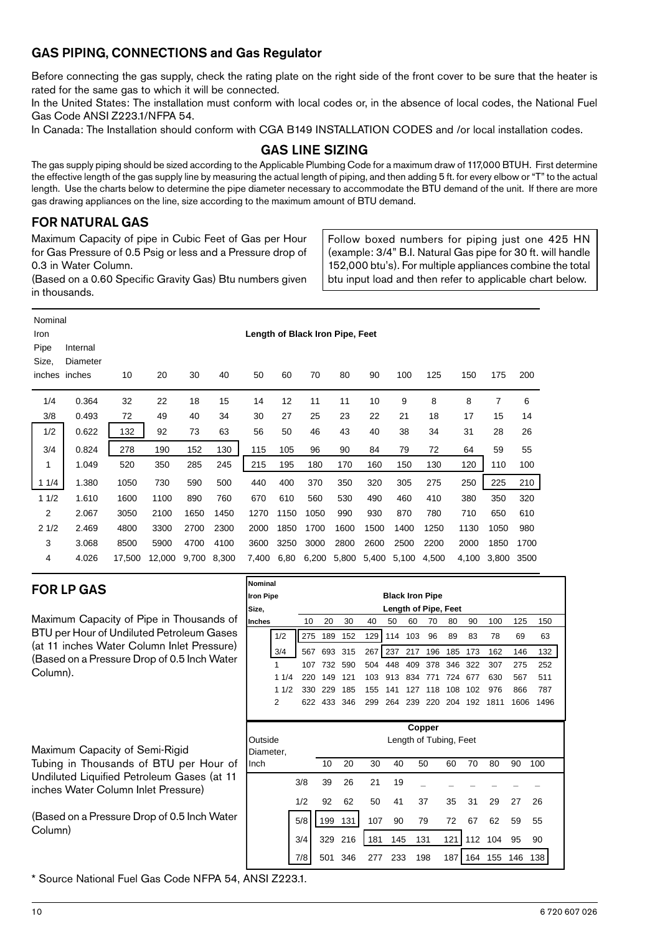# GAS PIPING, CONNECTIONS and Gas Regulator

Before connecting the gas supply, check the rating plate on the right side of the front cover to be sure that the heater is rated for the same gas to which it will be connected.

In the United States: The installation must conform with local codes or, in the absence of local codes, the National Fuel Gas Code ANSI Z223.1/NFPA 54.

In Canada: The Installation should conform with CGA B149 INSTALLATION CODES and /or local installation codes.

## GAS LINE SIZING

The gas supply piping should be sized according to the Applicable Plumbing Code for a maximum draw of 117,000 BTUH. First determine the effective length of the gas supply line by measuring the actual length of piping, and then adding 5 ft. for every elbow or "T" to the actual length. Use the charts below to determine the pipe diameter necessary to accommodate the BTU demand of the unit. If there are more gas drawing appliances on the line, size according to the maximum amount of BTU demand.

# FOR NATURAL GAS

Maximum Capacity of pipe in Cubic Feet of Gas per Hour for Gas Pressure of 0.5 Psig or less and a Pressure drop of 0.3 in Water Column.

Follow boxed numbers for piping just one 425 HN (example: 3/4" B.I. Natural Gas pipe for 30 ft. will handle 152,000 btu's). For multiple appliances combine the total btu input load and then refer to applicable chart below.

(Based on a 0.60 Specific Gravity Gas) Btu numbers given in thousands.

| Nominal<br>Iron<br>Pipe<br>Size, | Length of Black Iron Pipe, Feet<br>Internal<br>Diameter |        |        |       |       |       |      |       |       |       |       |       |       |       |      |
|----------------------------------|---------------------------------------------------------|--------|--------|-------|-------|-------|------|-------|-------|-------|-------|-------|-------|-------|------|
|                                  | inches inches                                           | 10     | 20     | 30    | 40    | 50    | 60   | 70    | 80    | 90    | 100   | 125   | 150   | 175   | 200  |
| 1/4                              | 0.364                                                   | 32     | 22     | 18    | 15    | 14    | 12   | 11    | 11    | 10    | 9     | 8     | 8     | 7     | 6    |
| 3/8                              | 0.493                                                   | 72     | 49     | 40    | 34    | 30    | 27   | 25    | 23    | 22    | 21    | 18    | 17    | 15    | 14   |
| 1/2                              | 0.622                                                   | 132    | 92     | 73    | 63    | 56    | 50   | 46    | 43    | 40    | 38    | 34    | 31    | 28    | 26   |
| 3/4                              | 0.824                                                   | 278    | 190    | 152   | 130   | 115   | 105  | 96    | 90    | 84    | 79    | 72    | 64    | 59    | 55   |
| 1                                | 1.049                                                   | 520    | 350    | 285   | 245   | 215   | 195  | 180   | 170   | 160   | 150   | 130   | 120   | 110   | 100  |
| 11/4                             | 1.380                                                   | 1050   | 730    | 590   | 500   | 440   | 400  | 370   | 350   | 320   | 305   | 275   | 250   | 225   | 210  |
| 11/2                             | 1.610                                                   | 1600   | 1100   | 890   | 760   | 670   | 610  | 560   | 530   | 490   | 460   | 410   | 380   | 350   | 320  |
| $\overline{2}$                   | 2.067                                                   | 3050   | 2100   | 1650  | 1450  | 1270  | 1150 | 1050  | 990   | 930   | 870   | 780   | 710   | 650   | 610  |
| 21/2                             | 2.469                                                   | 4800   | 3300   | 2700  | 2300  | 2000  | 1850 | 1700  | 1600  | 1500  | 1400  | 1250  | 1130  | 1050  | 980  |
| 3                                | 3.068                                                   | 8500   | 5900   | 4700  | 4100  | 3600  | 3250 | 3000  | 2800  | 2600  | 2500  | 2200  | 2000  | 1850  | 1700 |
| 4                                | 4.026                                                   | 17,500 | 12,000 | 9,700 | 8,300 | 7,400 | 6,80 | 6,200 | 5,800 | 5,400 | 5,100 | 4,500 | 4,100 | 3,800 | 3500 |

## FOR LP GAS

Maximum Capacity of Pipe in Thousands of BTU per Hour of Undiluted Petroleum Gases (at 11 inches Water Column Inlet Pressure) (Based on a Pressure Drop of 0.5 Inch Water Column).

Maximum Capacity of Semi-Rigid Tubing in Thousands of BTU per Hour of Undiluted Liquified Petroleum Gases (at 11 inches Water Column Inlet Pressure)

(Based on a Pressure Drop of 0.5 Inch Water Column)

\* Source National Fuel Gas Code NFPA 54, ANSI Z223.1.

| Nominal          |      |      |     |         |                  |                      |                        |         |             |     |      |      |      |
|------------------|------|------|-----|---------|------------------|----------------------|------------------------|---------|-------------|-----|------|------|------|
| <b>Iron Pipe</b> |      |      |     |         |                  |                      | <b>Black Iron Pipe</b> |         |             |     |      |      |      |
| Size,            |      |      |     |         |                  | Length of Pipe, Feet |                        |         |             |     |      |      |      |
| <b>Inches</b>    |      | 10   | 20  | 30      | 40               | 50                   | 60                     | 70      | 80          | 90  | 100  | 125  | 150  |
|                  | 1/2  | 275  | 189 | 152     | 129              | 114                  | 103                    | 96      | 89          | 83  | 78   | 69   | 63   |
|                  | 3/4  | 567  |     | 693 315 | 267              | 237                  | 217                    | 196     | 185         | 173 | 162  | 146  | 132  |
|                  | 1    | 107  | 732 | 590     | 504              | 448                  | 409                    |         | 378 346 322 |     | 307  | 275  | 252  |
|                  | 11/4 | 220. | 149 | 121     | 103 <sub>1</sub> | 913                  | 834                    | 771     | 724         | 677 | 630  | 567  | 511  |
|                  | 11/2 | 330  | 229 | 185     | 155              | 141                  | 127                    | 118     | 108         | 102 | 976  | 866  | 787  |
|                  | 2    | 622. | 433 | -346    | 299              | 264                  | 239                    | 220 204 |             | 192 | 1811 | 1606 | 1496 |
|                  |      |      |     |         |                  |                      |                        |         |             |     |      |      |      |

| Outside<br>Diameter, |     | Copper<br>Length of Tubing, Feet |         |     |     |     |     |     |     |     |     |  |  |  |
|----------------------|-----|----------------------------------|---------|-----|-----|-----|-----|-----|-----|-----|-----|--|--|--|
| Inch                 |     | 10                               | 20      | 30  | 40  | 50  | 60  | 70  | 80  | 90  | 100 |  |  |  |
|                      | 3/8 | 39                               | 26      | 21  | 19  |     |     |     |     |     |     |  |  |  |
|                      | 1/2 | 92                               | 62      | 50  | 41  | 37  | 35  | 31  | 29  | 27  | 26  |  |  |  |
|                      | 5/8 | 199                              | 131     | 107 | 90  | 79  | 72  | 67  | 62  | 59  | 55  |  |  |  |
|                      | 3/4 |                                  | 329 216 | 181 | 145 | 131 | 121 | 112 | 104 | 95  | 90  |  |  |  |
|                      | 7/8 | 501                              | 346     | 277 | 233 | 198 | 187 | 164 | 155 | 146 | 138 |  |  |  |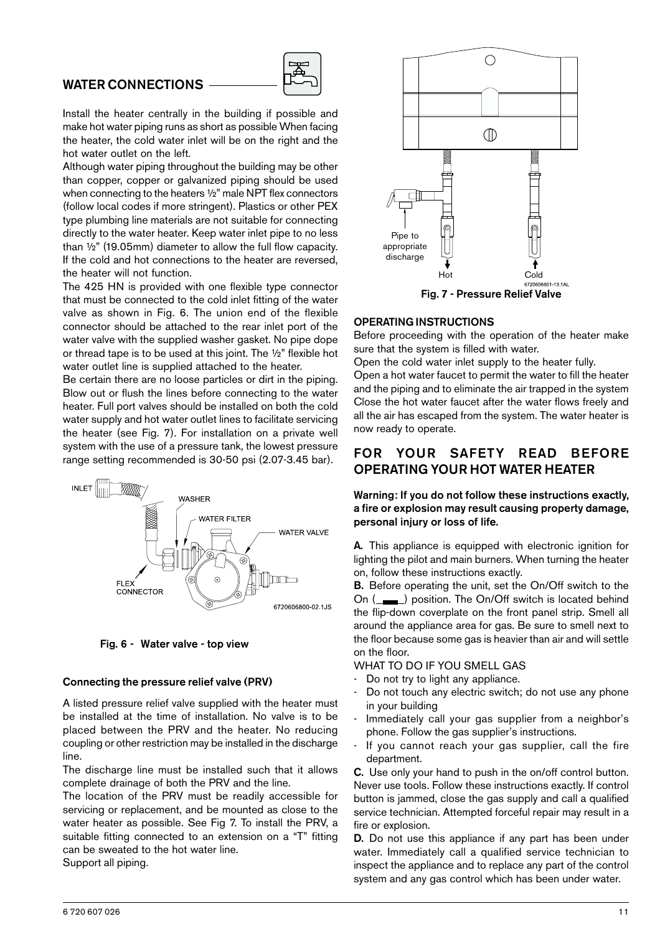### WATER CONNECTIONS



Install the heater centrally in the building if possible and make hot water piping runs as short as possible When facing the heater, the cold water inlet will be on the right and the hot water outlet on the left.

Although water piping throughout the building may be other than copper, copper or galvanized piping should be used when connecting to the heaters ½" male NPT flex connectors (follow local codes if more stringent). Plastics or other PEX type plumbing line materials are not suitable for connecting directly to the water heater. Keep water inlet pipe to no less than ½" (19.05mm) diameter to allow the full flow capacity. If the cold and hot connections to the heater are reversed, the heater will not function.

The 425 HN is provided with one flexible type connector that must be connected to the cold inlet fitting of the water valve as shown in Fig. 6. The union end of the flexible connector should be attached to the rear inlet port of the water valve with the supplied washer gasket. No pipe dope or thread tape is to be used at this joint. The ½" flexible hot water outlet line is supplied attached to the heater.

Be certain there are no loose particles or dirt in the piping. Blow out or flush the lines before connecting to the water heater. Full port valves should be installed on both the cold water supply and hot water outlet lines to facilitate servicing the heater (see Fig. 7). For installation on a private well system with the use of a pressure tank, the lowest pressure range setting recommended is 30-50 psi (2.07-3.45 bar).



Fig. 6 - Water valve - top view

#### Connecting the pressure relief valve (PRV)

A listed pressure relief valve supplied with the heater must be installed at the time of installation. No valve is to be placed between the PRV and the heater. No reducing coupling or other restriction may be installed in the discharge line.

The discharge line must be installed such that it allows complete drainage of both the PRV and the line.

The location of the PRV must be readily accessible for servicing or replacement, and be mounted as close to the water heater as possible. See Fig 7. To install the PRV, a suitable fitting connected to an extension on a "T" fitting can be sweated to the hot water line.

Support all piping.



#### OPERATING INSTRUCTIONS

Before proceeding with the operation of the heater make sure that the system is filled with water.

Open the cold water inlet supply to the heater fully.

Open a hot water faucet to permit the water to fill the heater and the piping and to eliminate the air trapped in the system Close the hot water faucet after the water flows freely and all the air has escaped from the system. The water heater is now ready to operate.

## FOR YOUR SAFETY READ BEFORE OPERATING YOUR HOT WATER HEATER

Warning: If you do not follow these instructions exactly, a fire or explosion may result causing property damage, personal injury or loss of life.

A. This appliance is equipped with electronic ignition for lighting the pilot and main burners. When turning the heater on, follow these instructions exactly.

B. Before operating the unit, set the On/Off switch to the On (\_\_ ) position. The On/Off switch is located behind the flip-down coverplate on the front panel strip. Smell all around the appliance area for gas. Be sure to smell next to the floor because some gas is heavier than air and will settle on the floor.

### WHAT TO DO IF YOU SMELL GAS

- Do not try to light any appliance.
- Do not touch any electric switch; do not use any phone in your building
- Immediately call your gas supplier from a neighbor's phone. Follow the gas supplier's instructions.
- If you cannot reach your gas supplier, call the fire department.

C. Use only your hand to push in the on/off control button. Never use tools. Follow these instructions exactly. If control button is jammed, close the gas supply and call a qualified service technician. Attempted forceful repair may result in a fire or explosion.

D. Do not use this appliance if any part has been under water. Immediately call a qualified service technician to inspect the appliance and to replace any part of the control system and any gas control which has been under water.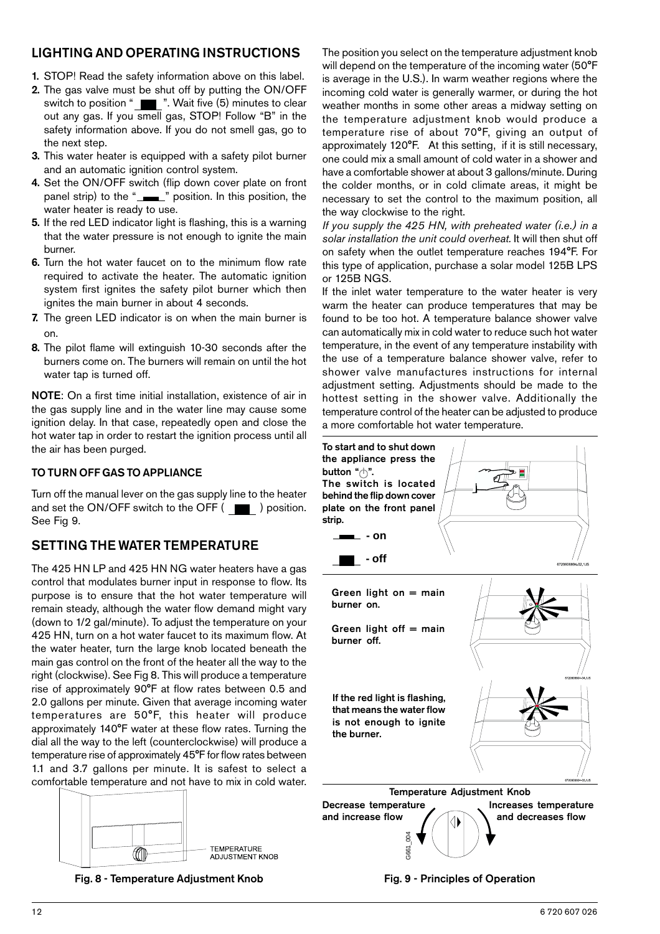# LIGHTING AND OPERATING INSTRUCTIONS

- 1. STOP! Read the safety information above on this label.
- 2. The gas valve must be shut off by putting the ON/OFF switch to position " Wait five (5) minutes to clear out any gas. If you smell gas, STOP! Follow "B" in the safety information above. If you do not smell gas, go to the next step.
- 3. This water heater is equipped with a safety pilot burner and an automatic ignition control system.
- 4. Set the ON/OFF switch (flip down cover plate on front panel strip) to the "\_\_\_\_" position. In this position, the water heater is ready to use.
- 5. If the red LED indicator light is flashing, this is a warning that the water pressure is not enough to ignite the main burner.
- 6. Turn the hot water faucet on to the minimum flow rate required to activate the heater. The automatic ignition system first ignites the safety pilot burner which then ignites the main burner in about 4 seconds.
- 7. The green LED indicator is on when the main burner is on.
- 8. The pilot flame will extinguish 10-30 seconds after the burners come on. The burners will remain on until the hot water tap is turned off.

NOTE: On a first time initial installation, existence of air in the gas supply line and in the water line may cause some ignition delay. In that case, repeatedly open and close the hot water tap in order to restart the ignition process until all the air has been purged.

### TO TURN OFF GAS TO APPLIANCE

Turn off the manual lever on the gas supply line to the heater and set the ON/OFF switch to the OFF  $($ See Fig 9.

# SETTING THE WATER TEMPERATURE

The 425 HN LP and 425 HN NG water heaters have a gas control that modulates burner input in response to flow. Its purpose is to ensure that the hot water temperature will remain steady, although the water flow demand might vary (down to 1/2 gal/minute). To adjust the temperature on your 425 HN, turn on a hot water faucet to its maximum flow. At the water heater, turn the large knob located beneath the main gas control on the front of the heater all the way to the right (clockwise). See Fig 8. This will produce a temperature rise of approximately 90°F at flow rates between 0.5 and 2.0 gallons per minute. Given that average incoming water temperatures are 50°F, this heater will produce approximately 140°F water at these flow rates. Turning the dial all the way to the left (counterclockwise) will produce a temperature rise of approximately 45°F for flow rates between 1.1 and 3.7 gallons per minute. It is safest to select a comfortable temperature and not have to mix in cold water.



Fig. 8 - Temperature Adjustment Knob

The position you select on the temperature adjustment knob will depend on the temperature of the incoming water (50°F is average in the U.S.). In warm weather regions where the incoming cold water is generally warmer, or during the hot weather months in some other areas a midway setting on the temperature adjustment knob would produce a temperature rise of about 70°F, giving an output of approximately 120°F. At this setting, if it is still necessary, one could mix a small amount of cold water in a shower and have a comfortable shower at about 3 gallons/minute. During the colder months, or in cold climate areas, it might be necessary to set the control to the maximum position, all the way clockwise to the right.

*If you supply the 425 HN, with preheated water (i.e.) in a solar installation the unit could overheat.* It will then shut off on safety when the outlet temperature reaches 194°F. For this type of application, purchase a solar model 125B LPS or 125B NGS.

If the inlet water temperature to the water heater is very warm the heater can produce temperatures that may be found to be too hot. A temperature balance shower valve can automatically mix in cold water to reduce such hot water temperature, in the event of any temperature instability with the use of a temperature balance shower valve, refer to shower valve manufactures instructions for internal adjustment setting. Adjustments should be made to the hottest setting in the shower valve. Additionally the temperature control of the heater can be adjusted to produce a more comfortable hot water temperature.



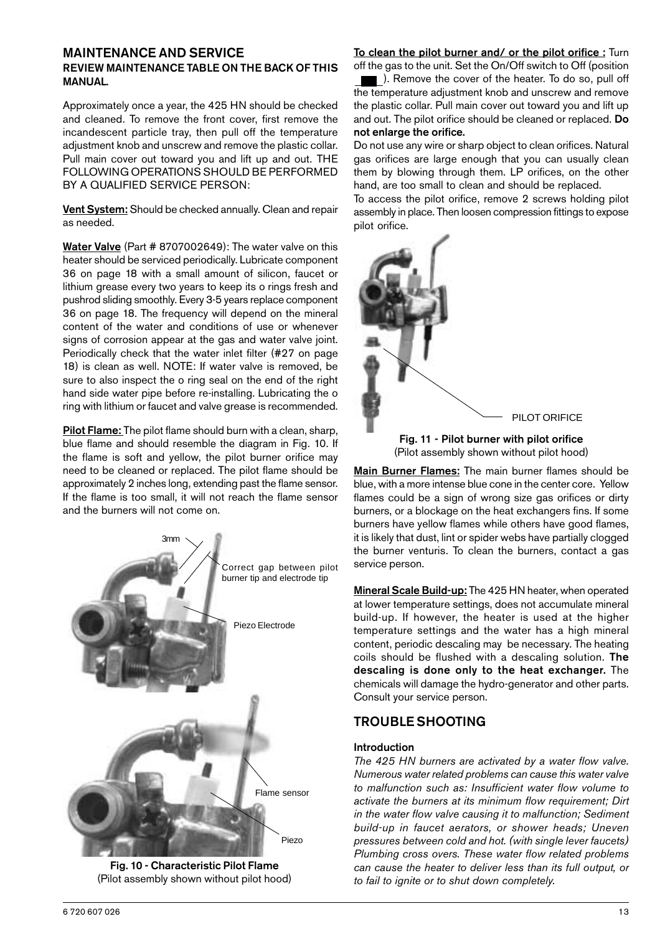#### MAINTENANCE AND SERVICE REVIEW MAINTENANCE TABLE ON THE BACK OF THIS MANUAL.

Approximately once a year, the 425 HN should be checked and cleaned. To remove the front cover, first remove the incandescent particle tray, then pull off the temperature adjustment knob and unscrew and remove the plastic collar. Pull main cover out toward you and lift up and out. THE FOLLOWING OPERATIONS SHOULD BE PERFORMED BY A QUALIFIED SERVICE PERSON:

Vent System: Should be checked annually. Clean and repair as needed.

Water Valve (Part # 8707002649): The water valve on this heater should be serviced periodically. Lubricate component 36 on page 18 with a small amount of silicon, faucet or lithium grease every two years to keep its o rings fresh and pushrod sliding smoothly. Every 3-5 years replace component 36 on page 18. The frequency will depend on the mineral content of the water and conditions of use or whenever signs of corrosion appear at the gas and water valve joint. Periodically check that the water inlet filter (#27 on page 18) is clean as well. NOTE: If water valve is removed, be sure to also inspect the o ring seal on the end of the right hand side water pipe before re-installing. Lubricating the o ring with lithium or faucet and valve grease is recommended.

Pilot Flame: The pilot flame should burn with a clean, sharp, blue flame and should resemble the diagram in Fig. 10. If the flame is soft and yellow, the pilot burner orifice may need to be cleaned or replaced. The pilot flame should be approximately 2 inches long, extending past the flame sensor. If the flame is too small, it will not reach the flame sensor and the burners will not come on.



Fig. 10 - Characteristic Pilot Flame (Pilot assembly shown without pilot hood)

#### To clean the pilot burner and/ or the pilot orifice : Turn off the gas to the unit. Set the On/Off switch to Off (position

). Remove the cover of the heater. To do so, pull off the temperature adjustment knob and unscrew and remove the plastic collar. Pull main cover out toward you and lift up and out. The pilot orifice should be cleaned or replaced. Do not enlarge the orifice.

Do not use any wire or sharp object to clean orifices. Natural gas orifices are large enough that you can usually clean them by blowing through them. LP orifices, on the other hand, are too small to clean and should be replaced.

To access the pilot orifice, remove 2 screws holding pilot assembly in place. Then loosen compression fittings to expose pilot orifice.



Fig. 11 - Pilot burner with pilot orifice (Pilot assembly shown without pilot hood)

Main Burner Flames: The main burner flames should be blue, with a more intense blue cone in the center core. Yellow flames could be a sign of wrong size gas orifices or dirty burners, or a blockage on the heat exchangers fins. If some burners have yellow flames while others have good flames, it is likely that dust, lint or spider webs have partially clogged the burner venturis. To clean the burners, contact a gas service person.

Mineral Scale Build-up: The 425 HN heater, when operated at lower temperature settings, does not accumulate mineral build-up. If however, the heater is used at the higher temperature settings and the water has a high mineral content, periodic descaling may be necessary. The heating coils should be flushed with a descaling solution. The descaling is done only to the heat exchanger. The chemicals will damage the hydro-generator and other parts. Consult your service person.

# TROUBLE SHOOTING

### Introduction

*The 425 HN burners are activated by a water flow valve. Numerous water related problems can cause this water valve to malfunction such as: Insufficient water flow volume to activate the burners at its minimum flow requirement; Dirt in the water flow valve causing it to malfunction; Sediment build-up in faucet aerators, or shower heads; Uneven pressures between cold and hot. (with single lever faucets) Plumbing cross overs. These water flow related problems can cause the heater to deliver less than its full output, or to fail to ignite or to shut down completely.*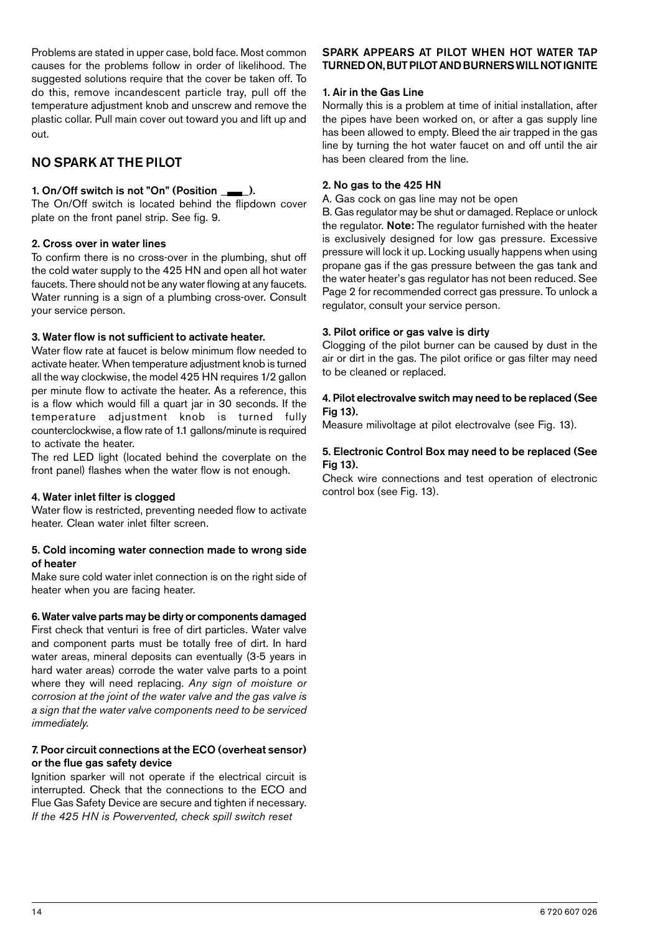Problems are stated in upper case, bold face. Most common causes for the problems follow in order of likelihood. The suggested solutions require that the cover be taken off. To do this, remove incandescent particle tray, pull off the temperature adjustment knob and unscrew and remove the plastic collar. Pull main cover out toward you and lift up and out.

# NO SPARK AT THE PILOT

### 1. On/Off switch is not "On" (Position \_\_\_\_).

The On/Off switch is located behind the flipdown cover plate on the front panel strip. See fig. 9.

### 2. Cross over in water lines

To confirm there is no cross-over in the plumbing, shut off the cold water supply to the 425 HN and open all hot water faucets. There should not be any water flowing at any faucets. Water running is a sign of a plumbing cross-over. Consult your service person.

### 3. Water flow is not sufficient to activate heater.

Water flow rate at faucet is below minimum flow needed to activate heater. When temperature adjustment knob is turned all the way clockwise, the model 425 HN requires 1/2 gallon per minute flow to activate the heater. As a reference, this is a flow which would fill a quart jar in 30 seconds. If the temperature adjustment knob is turned fully counterclockwise, a flow rate of 1.1 gallons/minute is required to activate the heater.

The red LED light (located behind the coverplate on the front panel) flashes when the water flow is not enough.

### 4. Water inlet filter is clogged

Water flow is restricted, preventing needed flow to activate heater. Clean water inlet filter screen.

#### 5. Cold incoming water connection made to wrong side of heater

Make sure cold water inlet connection is on the right side of heater when you are facing heater.

### 6. Water valve parts may be dirty or components damaged

First check that venturi is free of dirt particles. Water valve and component parts must be totally free of dirt. In hard water areas, mineral deposits can eventually (3-5 years in hard water areas) corrode the water valve parts to a point where they will need replacing. *Any sign of moisture or corrosion at the joint of the water valve and the gas valve is a sign that the water valve components need to be serviced immediately.*

### 7. Poor circuit connections at the ECO (overheat sensor) or the flue gas safety device

Ignition sparker will not operate if the electrical circuit is interrupted. Check that the connections to the ECO and Flue Gas Safety Device are secure and tighten if necessary. *If the 425 HN is Powervented, check spill switch reset*

### SPARK APPEARS AT PILOT WHEN HOT WATER TAP TURNED ON, BUT PILOT AND BURNERS WILL NOT IGNITE

#### 1. Air in the Gas Line

Normally this is a problem at time of initial installation, after the pipes have been worked on, or after a gas supply line has been allowed to empty. Bleed the air trapped in the gas line by turning the hot water faucet on and off until the air has been cleared from the line.

#### 2. No gas to the 425 HN

A. Gas cock on gas line may not be open

B. Gas regulator may be shut or damaged. Replace or unlock the regulator. Note: The regulator furnished with the heater is exclusively designed for low gas pressure. Excessive pressure will lock it up. Locking usually happens when using propane gas if the gas pressure between the gas tank and the water heater's gas regulator has not been reduced. See Page 2 for recommended correct gas pressure. To unlock a regulator, consult your service person.

#### 3. Pilot orifice or gas valve is dirty

Clogging of the pilot burner can be caused by dust in the air or dirt in the gas. The pilot orifice or gas filter may need to be cleaned or replaced.

#### 4. Pilot electrovalve switch may need to be replaced (See Fig 13).

Measure milivoltage at pilot electrovalve (see Fig. 13).

#### 5. Electronic Control Box may need to be replaced (See Fig 13).

Check wire connections and test operation of electronic control box (see Fig. 13).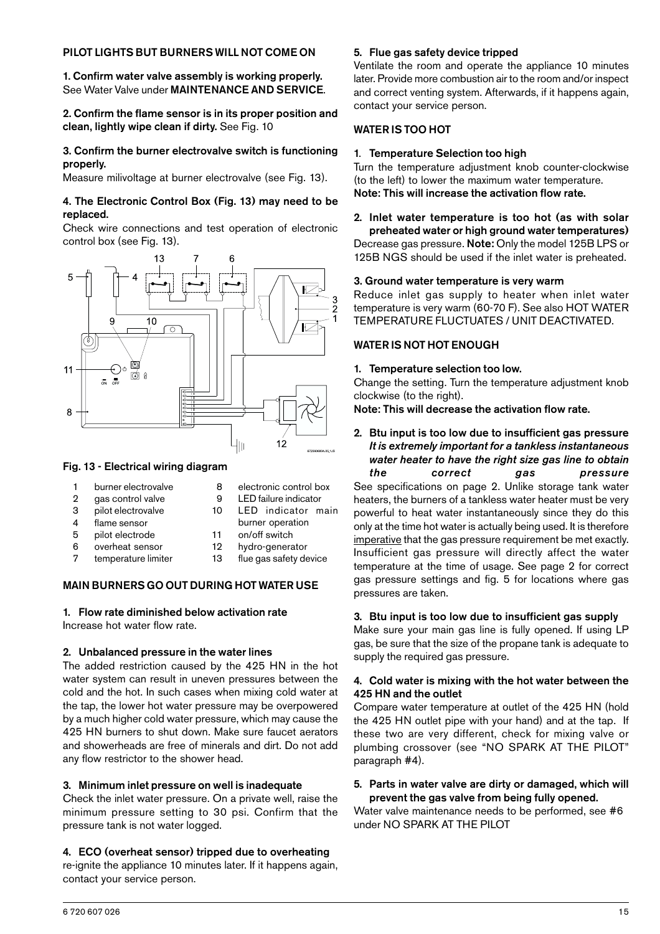### PILOT LIGHTS BUT BURNERS WILL NOT COME ON

1. Confirm water valve assembly is working properly. See Water Valve under MAINTENANCE AND SERVICE.

2. Confirm the flame sensor is in its proper position and clean, lightly wipe clean if dirty. See Fig. 10

#### 3. Confirm the burner electrovalve switch is functioning properly.

Measure milivoltage at burner electrovalve (see Fig. 13).

#### 4. The Electronic Control Box (Fig. 13) may need to be replaced.

Check wire connections and test operation of electronic control box (see Fig. 13).



#### Fig. 13 - Electrical wiring diagram

| burner electrovalve |
|---------------------|
|                     |

- 8 electronic control box 2 gas control valve 3 pilot electrovalve
- 4 flame sensor
- 5 pilot electrode
- 6 overheat sensor
- 7 temperature limiter
- 9 LED failure indicator 10 LED indicator main
- burner operation
	- 11 on/off switch
	- 12 hydro-generator
	- 13 flue gas safety device

### MAIN BURNERS GO OUT DURING HOT WATER USE

# 1. Flow rate diminished below activation rate

Increase hot water flow rate.

### 2. Unbalanced pressure in the water lines

The added restriction caused by the 425 HN in the hot water system can result in uneven pressures between the cold and the hot. In such cases when mixing cold water at the tap, the lower hot water pressure may be overpowered by a much higher cold water pressure, which may cause the 425 HN burners to shut down. Make sure faucet aerators and showerheads are free of minerals and dirt. Do not add any flow restrictor to the shower head.

#### 3. Minimum inlet pressure on well is inadequate

Check the inlet water pressure. On a private well, raise the minimum pressure setting to 30 psi. Confirm that the pressure tank is not water logged.

### 4. ECO (overheat sensor) tripped due to overheating

re-ignite the appliance 10 minutes later. If it happens again, contact your service person.

#### 5. Flue gas safety device tripped

Ventilate the room and operate the appliance 10 minutes later. Provide more combustion air to the room and/or inspect and correct venting system. Afterwards, if it happens again, contact your service person.

### WATER IS TOO HOT

#### 1. Temperature Selection too high

Turn the temperature adjustment knob counter-clockwise (to the left) to lower the maximum water temperature. Note: This will increase the activation flow rate.

#### 2. Inlet water temperature is too hot (as with solar preheated water or high ground water temperatures) Decrease gas pressure. Note: Only the model 125B LPS or 125B NGS should be used if the inlet water is preheated.

#### 3. Ground water temperature is very warm

Reduce inlet gas supply to heater when inlet water temperature is very warm (60-70 F). See also HOT WATER TEMPERATURE FLUCTUATES / UNIT DEACTIVATED.

### WATER IS NOT HOT ENOUGH

#### 1. Temperature selection too low.

Change the setting. Turn the temperature adjustment knob clockwise (to the right).

Note: This will decrease the activation flow rate.

#### 2. Btu input is too low due to insufficient gas pressure *It is extremely important for a tankless instantaneous water heater to have the right size gas line to obtain the correct gas pressure*

See specifications on page 2. Unlike storage tank water heaters, the burners of a tankless water heater must be very powerful to heat water instantaneously since they do this only at the time hot water is actually being used. It is therefore imperative that the gas pressure requirement be met exactly. Insufficient gas pressure will directly affect the water temperature at the time of usage. See page 2 for correct gas pressure settings and fig. 5 for locations where gas pressures are taken.

### 3. Btu input is too low due to insufficient gas supply

Make sure your main gas line is fully opened. If using LP gas, be sure that the size of the propane tank is adequate to supply the required gas pressure.

#### 4. Cold water is mixing with the hot water between the 425 HN and the outlet

Compare water temperature at outlet of the 425 HN (hold the 425 HN outlet pipe with your hand) and at the tap. If these two are very different, check for mixing valve or plumbing crossover (see "NO SPARK AT THE PILOT" paragraph #4).

#### 5. Parts in water valve are dirty or damaged, which will prevent the gas valve from being fully opened.

Water valve maintenance needs to be performed, see #6 under NO SPARK AT THE PILOT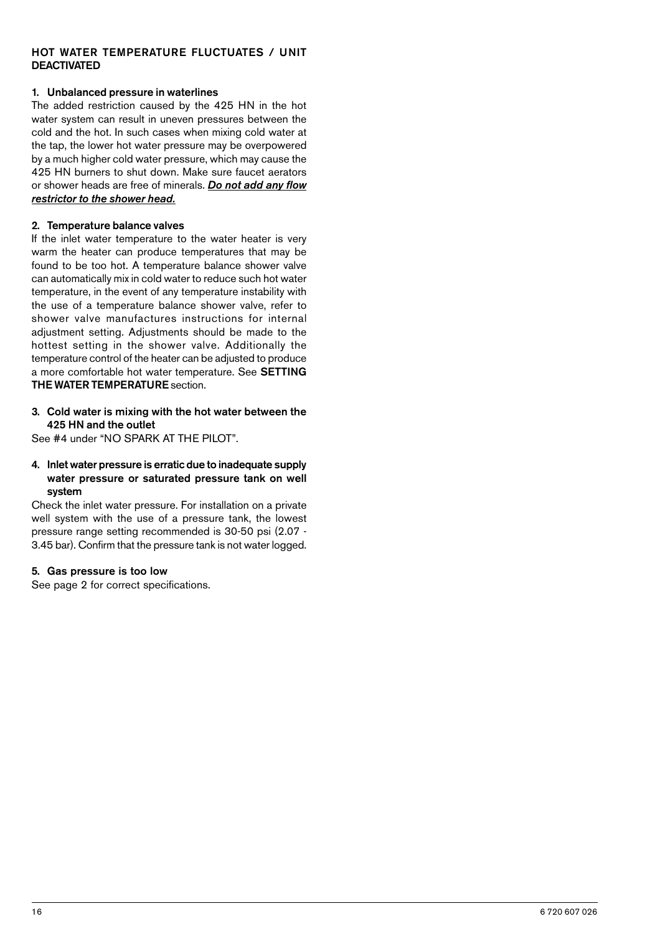### HOT WATER TEMPERATURE FLUCTUATES / UNIT DEACTIVATED

### 1. Unbalanced pressure in waterlines

The added restriction caused by the 425 HN in the hot water system can result in uneven pressures between the cold and the hot. In such cases when mixing cold water at the tap, the lower hot water pressure may be overpowered by a much higher cold water pressure, which may cause the 425 HN burners to shut down. Make sure faucet aerators or shower heads are free of minerals. *Do not add any flow restrictor to the shower head.*

### 2. Temperature balance valves

If the inlet water temperature to the water heater is very warm the heater can produce temperatures that may be found to be too hot. A temperature balance shower valve can automatically mix in cold water to reduce such hot water temperature, in the event of any temperature instability with the use of a temperature balance shower valve, refer to shower valve manufactures instructions for internal adjustment setting. Adjustments should be made to the hottest setting in the shower valve. Additionally the temperature control of the heater can be adjusted to produce a more comfortable hot water temperature. See SETTING THE WATER TEMPERATURE section.

### 3. Cold water is mixing with the hot water between the 425 HN and the outlet

See #4 under "NO SPARK AT THE PILOT".

### 4. Inlet water pressure is erratic due to inadequate supply water pressure or saturated pressure tank on well system

Check the inlet water pressure. For installation on a private well system with the use of a pressure tank, the lowest pressure range setting recommended is 30-50 psi (2.07 - 3.45 bar). Confirm that the pressure tank is not water logged.

### 5. Gas pressure is too low

See page 2 for correct specifications.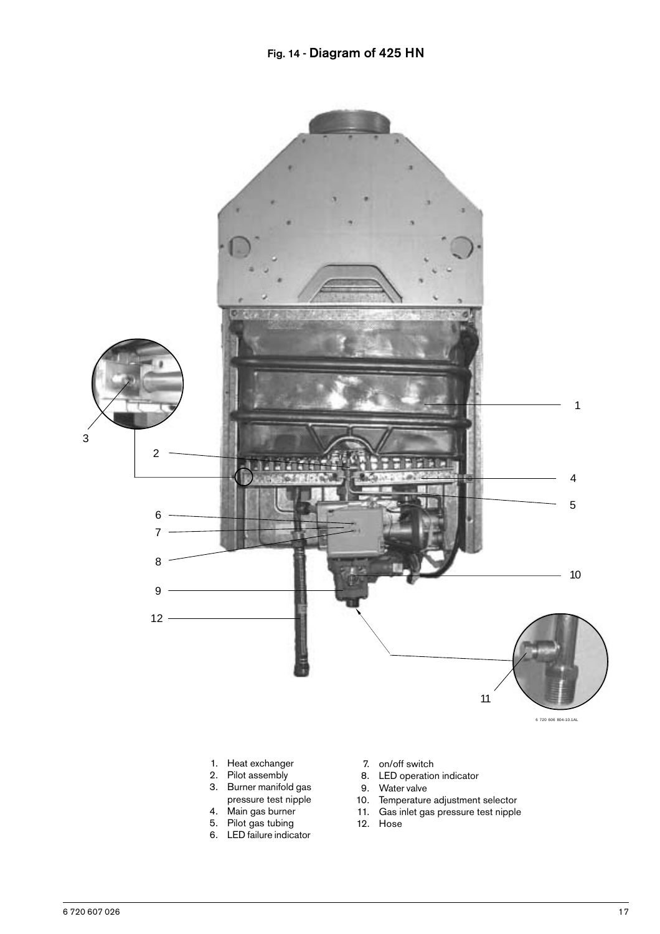

- 9. Water valve
- 10. Temperature adjustment selector
- 11. Gas inlet gas pressure test nipple
- 12. Hose
- 5. Pilot gas tubing 6. LED failure indicator

3. Burner manifold gas pressure test nipple 4. Main gas burner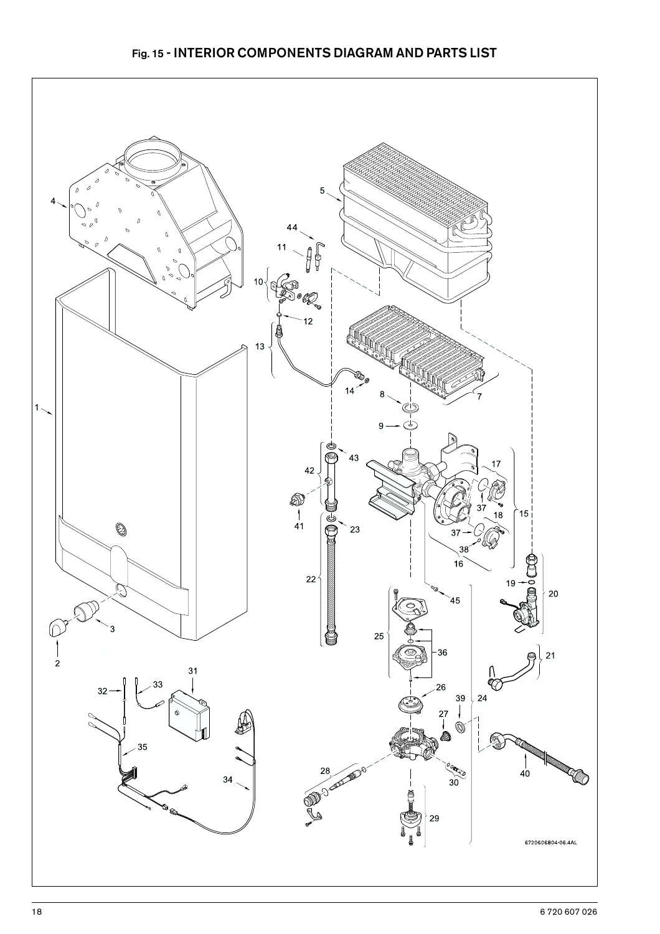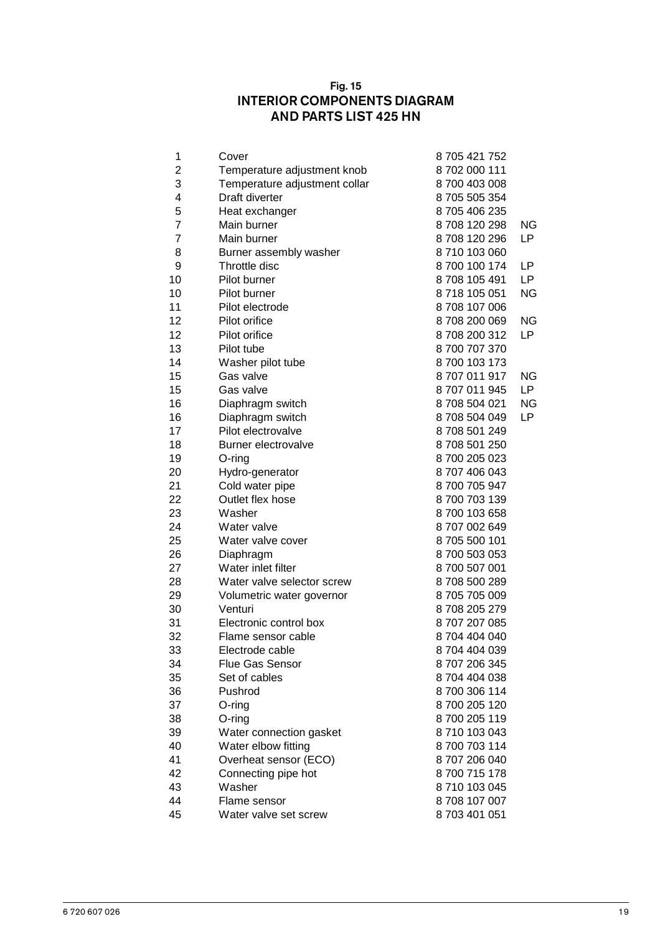# Fig. 15 INTERIOR COMPONENTS DIAGRAM AND PARTS LIST 425 HN

| 1  | Cover                         | 8 705 421 752 |           |
|----|-------------------------------|---------------|-----------|
| 2  | Temperature adjustment knob   | 8702000111    |           |
| 3  | Temperature adjustment collar | 8700 403 008  |           |
| 4  | Draft diverter                | 8 705 505 354 |           |
| 5  | Heat exchanger                | 8705406235    |           |
| 7  | Main burner                   | 8708120298    | ΝG        |
| 7  | Main burner                   | 8708120296    | LP.       |
| 8  | Burner assembly washer        | 8710 103 060  |           |
| 9  | Throttle disc                 | 8 700 100 174 | LP.       |
| 10 | Pilot burner                  | 8708 105 491  | LP.       |
| 10 | Pilot burner                  | 8718 105 051  | ΝG        |
| 11 | Pilot electrode               | 8708107006    |           |
| 12 | Pilot orifice                 | 8708200069    | ΝG        |
| 12 | Pilot orifice                 | 8708200312    | LP.       |
| 13 | Pilot tube                    | 8700707370    |           |
| 14 | Washer pilot tube             | 8700 103 173  |           |
| 15 | Gas valve                     | 8707011917    | ΝG        |
| 15 | Gas valve                     | 8707011945    | LP.       |
| 16 | Diaphragm switch              | 8708504021    | <b>NG</b> |
| 16 | Diaphragm switch              | 8708504049    | LP        |
| 17 | Pilot electrovalve            | 8708501249    |           |
| 18 | Burner electrovalve           | 8708501250    |           |
| 19 | O-ring                        | 8700 205 023  |           |
| 20 | Hydro-generator               | 8707406043    |           |
| 21 | Cold water pipe               | 8700705947    |           |
| 22 | Outlet flex hose              | 8700703139    |           |
| 23 | Washer                        | 8700 103 658  |           |
| 24 | Water valve                   | 8707002649    |           |
| 25 | Water valve cover             | 8705500101    |           |
| 26 | Diaphragm                     | 8700 503 053  |           |
| 27 | Water inlet filter            | 8700 507 001  |           |
| 28 | Water valve selector screw    | 8708500289    |           |
| 29 | Volumetric water governor     | 8705705009    |           |
| 30 | Venturi                       | 8708205279    |           |
| 31 | Electronic control box        | 8707207085    |           |
| 32 | Flame sensor cable            | 8704 404 040  |           |
| 33 | Electrode cable               | 8704 404 039  |           |
| 34 | <b>Flue Gas Sensor</b>        | 8707206345    |           |
| 35 | Set of cables                 | 8704 404 038  |           |
| 36 | Pushrod                       | 8700306114    |           |
| 37 | O-ring                        | 8700 205 120  |           |
| 38 | $O$ -ring                     | 8700 205 119  |           |
| 39 | Water connection gasket       | 8710 103 043  |           |
| 40 | Water elbow fitting           | 8700703114    |           |
| 41 | Overheat sensor (ECO)         | 8707206040    |           |
| 42 | Connecting pipe hot           | 8700715178    |           |
| 43 | Washer                        | 8710 103 045  |           |
| 44 | Flame sensor                  | 8708 107 007  |           |
| 45 | Water valve set screw         | 8703401051    |           |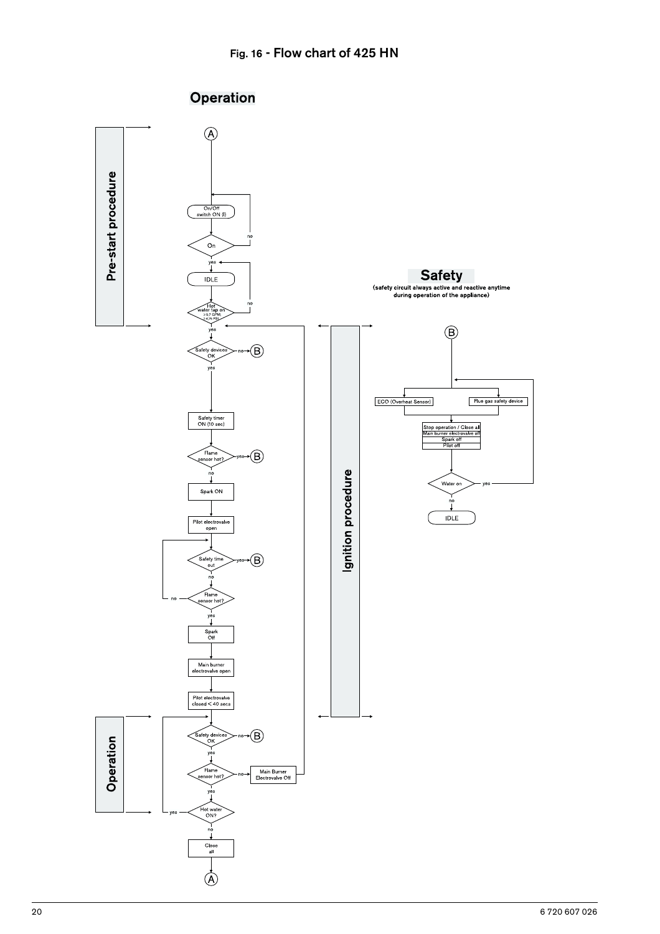

# Operation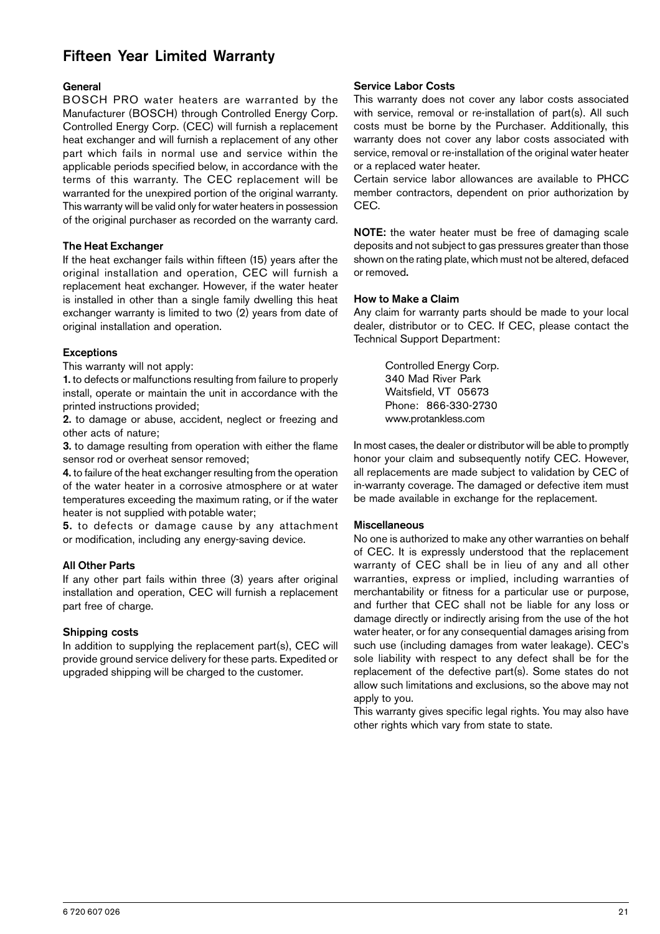# Fifteen Year Limited Warranty

#### **General**

BOSCH PRO water heaters are warranted by the Manufacturer (BOSCH) through Controlled Energy Corp. Controlled Energy Corp. (CEC) will furnish a replacement heat exchanger and will furnish a replacement of any other part which fails in normal use and service within the applicable periods specified below, in accordance with the terms of this warranty. The CEC replacement will be warranted for the unexpired portion of the original warranty. This warranty will be valid only for water heaters in possession of the original purchaser as recorded on the warranty card.

### The Heat Exchanger

If the heat exchanger fails within fifteen (15) years after the original installation and operation, CEC will furnish a replacement heat exchanger. However, if the water heater is installed in other than a single family dwelling this heat exchanger warranty is limited to two (2) years from date of original installation and operation.

#### Exceptions

This warranty will not apply:

1. to defects or malfunctions resulting from failure to properly install, operate or maintain the unit in accordance with the printed instructions provided;

2. to damage or abuse, accident, neglect or freezing and other acts of nature;

3. to damage resulting from operation with either the flame sensor rod or overheat sensor removed;

4. to failure of the heat exchanger resulting from the operation of the water heater in a corrosive atmosphere or at water temperatures exceeding the maximum rating, or if the water heater is not supplied with potable water;

5. to defects or damage cause by any attachment or modification, including any energy-saving device.

#### All Other Parts

If any other part fails within three (3) years after original installation and operation, CEC will furnish a replacement part free of charge.

### Shipping costs

In addition to supplying the replacement part(s), CEC will provide ground service delivery for these parts. Expedited or upgraded shipping will be charged to the customer.

### Service Labor Costs

This warranty does not cover any labor costs associated with service, removal or re-installation of part(s). All such costs must be borne by the Purchaser. Additionally, this warranty does not cover any labor costs associated with service, removal or re-installation of the original water heater or a replaced water heater.

Certain service labor allowances are available to PHCC member contractors, dependent on prior authorization by CEC.

NOTE: the water heater must be free of damaging scale deposits and not subject to gas pressures greater than those shown on the rating plate, which must not be altered, defaced or removed.

#### How to Make a Claim

Any claim for warranty parts should be made to your local dealer, distributor or to CEC. If CEC, please contact the Technical Support Department:

> Controlled Energy Corp. 340 Mad River Park Waitsfield, VT 05673 Phone: 866-330-2730 www.protankless.com

In most cases, the dealer or distributor will be able to promptly honor your claim and subsequently notify CEC. However, all replacements are made subject to validation by CEC of in-warranty coverage. The damaged or defective item must be made available in exchange for the replacement.

#### **Miscellaneous**

No one is authorized to make any other warranties on behalf of CEC. It is expressly understood that the replacement warranty of CEC shall be in lieu of any and all other warranties, express or implied, including warranties of merchantability or fitness for a particular use or purpose, and further that CEC shall not be liable for any loss or damage directly or indirectly arising from the use of the hot water heater, or for any consequential damages arising from such use (including damages from water leakage). CEC's sole liability with respect to any defect shall be for the replacement of the defective part(s). Some states do not allow such limitations and exclusions, so the above may not apply to you.

This warranty gives specific legal rights. You may also have other rights which vary from state to state.